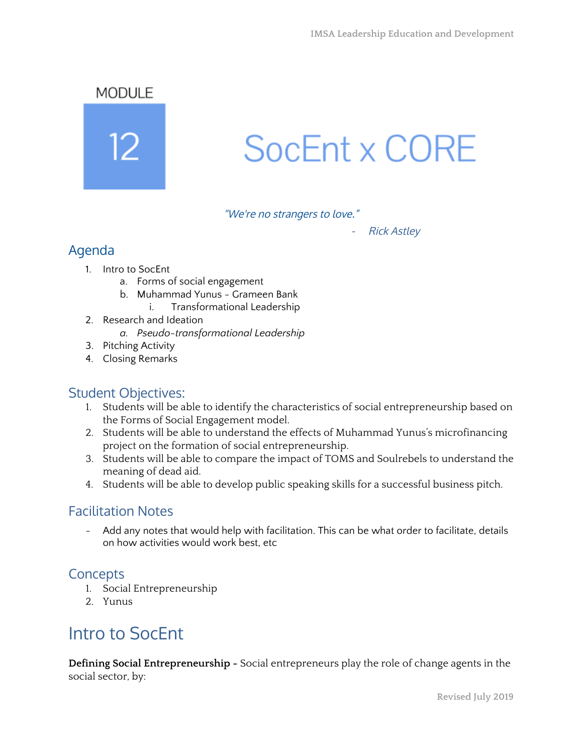MODULE



# SocEnt x CORE

"We're no strangers to love."

Rick Astley

### Agenda

- 1. Intro to SocEnt
	- a. Forms of social engagement
	- b. Muhammad Yunus Grameen Bank
		- i. Transformational Leadership
- 2. Research and Ideation
	- *a. Pseudo-transformational Leadership*
- 3. Pitching Activity
- 4. Closing Remarks

### Student Objectives:

- 1. Students will be able to identify the characteristics of social entrepreneurship based on the Forms of Social Engagement model.
- 2. Students will be able to understand the effects of Muhammad Yunus's microfinancing project on the formation of social entrepreneurship.
- 3. Students will be able to compare the impact of TOMS and Soulrebels to understand the meaning of dead aid.
- 4. Students will be able to develop public speaking skills for a successful business pitch.

### Facilitation Notes

- Add any notes that would help with facilitation. This can be what order to facilitate, details on how activities would work best, etc

### **Concepts**

- 1. Social Entrepreneurship
- 2. Yunus

# Intro to SocEnt

**Defining Social Entrepreneurship -** Social entrepreneurs play the role of change agents in the social sector, by: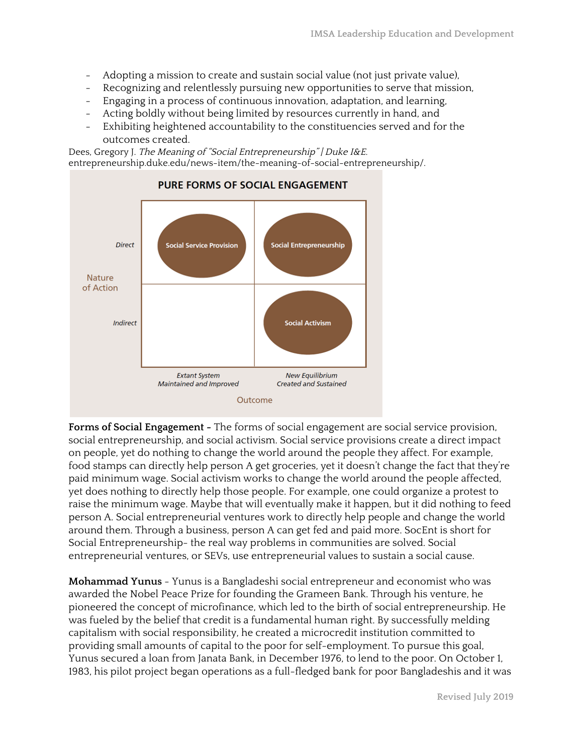- Adopting a mission to create and sustain social value (not just private value),
- Recognizing and relentlessly pursuing new opportunities to serve that mission,
- Engaging in a process of continuous innovation, adaptation, and learning,
- Acting boldly without being limited by resources currently in hand, and
- Exhibiting heightened accountability to the constituencies served and for the outcomes created.

Dees, Gregory J. The Meaning of "Social Entrepreneurship" | Duke I&E. entrepreneurship.duke.edu/news-item/the-meaning-of-social-entrepreneurship/.



**Forms of Social Engagement -** The forms of social engagement are social service provision, social entrepreneurship, and social activism. Social service provisions create a direct impact on people, yet do nothing to change the world around the people they affect. For example, food stamps can directly help person A get groceries, yet it doesn't change the fact that they're paid minimum wage. Social activism works to change the world around the people affected, yet does nothing to directly help those people. For example, one could organize a protest to raise the minimum wage. Maybe that will eventually make it happen, but it did nothing to feed person A. Social entrepreneurial ventures work to directly help people and change the world around them. Through a business, person A can get fed and paid more. SocEnt is short for Social Entrepreneurship- the real way problems in communities are solved. Social entrepreneurial ventures, or SEVs, use entrepreneurial values to sustain a social cause.

**Mohammad Yunus** - Yunus is a Bangladeshi social entrepreneur and economist who was awarded the Nobel Peace Prize for founding the Grameen Bank. Through his venture, he pioneered the concept of microfinance, which led to the birth of social entrepreneurship. He was fueled by the belief that credit is a fundamental human right. By successfully melding capitalism with social responsibility, he created a microcredit institution committed to providing small amounts of capital to the poor for self-employment. To pursue this goal, Yunus secured a loan from Janata Bank, in December 1976, to lend to the poor. On October 1, 1983, his pilot project began operations as a full-fledged bank for poor Bangladeshis and it was

**Revised July 2019**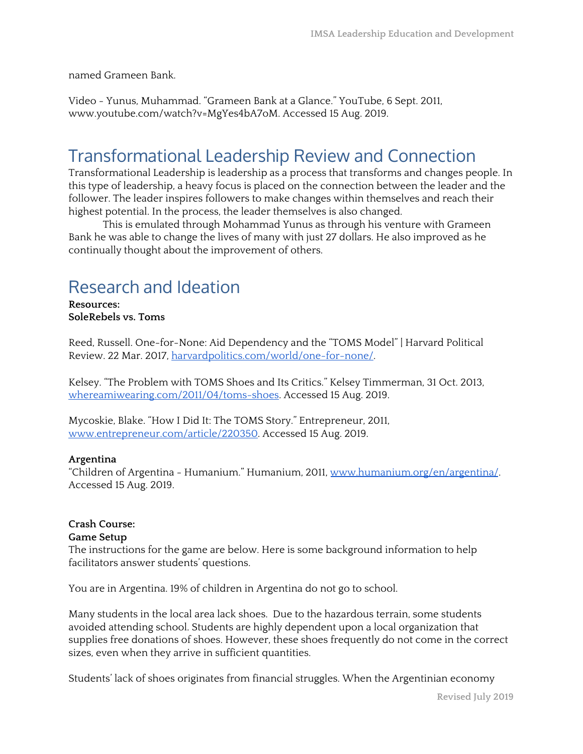named Grameen Bank.

Video - Yunus, Muhammad. "Grameen Bank at a Glance." YouTube, 6 Sept. 2011, www.youtube.com/watch?v=MgYes4bA7oM. Accessed 15 Aug. 2019.

### Transformational Leadership Review and Connection

Transformational Leadership is leadership as a process that transforms and changes people. In this type of leadership, a heavy focus is placed on the connection between the leader and the follower. The leader inspires followers to make changes within themselves and reach their highest potential. In the process, the leader themselves is also changed.

This is emulated through Mohammad Yunus as through his venture with Grameen Bank he was able to change the lives of many with just 27 dollars. He also improved as he continually thought about the improvement of others.

### Research and Ideation

**Resources: SoleRebels vs. Toms**

Reed, Russell. One-for-None: Aid Dependency and the "TOMS Model" | Harvard Political Review. 22 Mar. 2017, [harvardpolitics.com/world/one-for-none/](http://www.harvardpolitics.com/world/one-for-none/).

Kelsey. "The Problem with TOMS Shoes and Its Critics." Kelsey Timmerman, 31 Oct. 2013, [whereamiwearing.com/2011/04/toms-shoes](http://whereamiwearing.com/2011/04/toms-shoes/). Accessed 15 Aug. 2019.

Mycoskie, Blake. "How I Did It: The TOMS Story." Entrepreneur, 2011, [www.entrepreneur.com/article/220350.](http://www.entrepreneur.com/article/220350) Accessed 15 Aug. 2019.

#### **Argentina**

"Children of Argentina - Humanium." Humanium, 2011, [www.humanium.org/en/argentina/.](http://www.humanium.org/en/argentina/) Accessed 15 Aug. 2019.

#### **Crash Course: Game Setup**

The instructions for the game are below. Here is some background information to help facilitators answer students' questions.

You are in Argentina. 19% of children in Argentina do not go to school.

Many students in the local area lack shoes. Due to the hazardous terrain, some students avoided attending school. Students are highly dependent upon a local organization that supplies free donations of shoes. However, these shoes frequently do not come in the correct sizes, even when they arrive in sufficient quantities.

Students' lack of shoes originates from financial struggles. When the Argentinian economy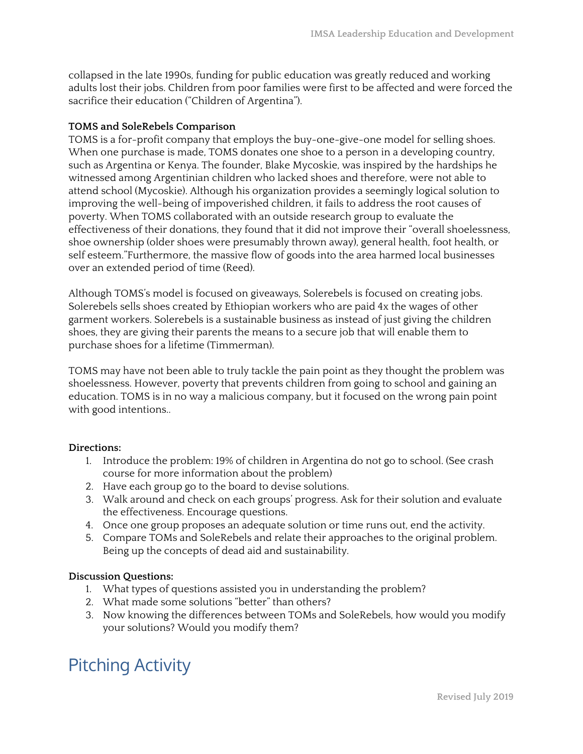collapsed in the late 1990s, funding for public education was greatly reduced and working adults lost their jobs. Children from poor families were first to be affected and were forced the sacrifice their education ("Children of Argentina").

#### **TOMS and SoleRebels Comparison**

TOMS is a for-profit company that employs the buy-one-give-one model for selling shoes. When one purchase is made, TOMS donates one shoe to a person in a developing country, such as Argentina or Kenya. The founder, Blake Mycoskie, was inspired by the hardships he witnessed among Argentinian children who lacked shoes and therefore, were not able to attend school (Mycoskie). Although his organization provides a seemingly logical solution to improving the well-being of impoverished children, it fails to address the root causes of poverty. When TOMS collaborated with an outside research group to evaluate the effectiveness of their donations, they found that it did not improve their "overall shoelessness, shoe ownership (older shoes were presumably thrown away), general health, foot health, or self esteem."Furthermore, the massive flow of goods into the area harmed local businesses over an extended period of time (Reed).

Although TOMS's model is focused on giveaways, Solerebels is focused on creating jobs. Solerebels sells shoes created by Ethiopian workers who are paid 4x the wages of other garment workers. Solerebels is a sustainable business as instead of just giving the children shoes, they are giving their parents the means to a secure job that will enable them to purchase shoes for a lifetime (Timmerman).

TOMS may have not been able to truly tackle the pain point as they thought the problem was shoelessness. However, poverty that prevents children from going to school and gaining an education. TOMS is in no way a malicious company, but it focused on the wrong pain point with good intentions..

#### **Directions:**

- 1. Introduce the problem: 19% of children in Argentina do not go to school. (See crash course for more information about the problem)
- 2. Have each group go to the board to devise solutions.
- 3. Walk around and check on each groups' progress. Ask for their solution and evaluate the effectiveness. Encourage questions.
- 4. Once one group proposes an adequate solution or time runs out, end the activity.
- 5. Compare TOMs and SoleRebels and relate their approaches to the original problem. Being up the concepts of dead aid and sustainability.

#### **Discussion Questions:**

- 1. What types of questions assisted you in understanding the problem?
- 2. What made some solutions "better" than others?
- 3. Now knowing the differences between TOMs and SoleRebels, how would you modify your solutions? Would you modify them?

# Pitching Activity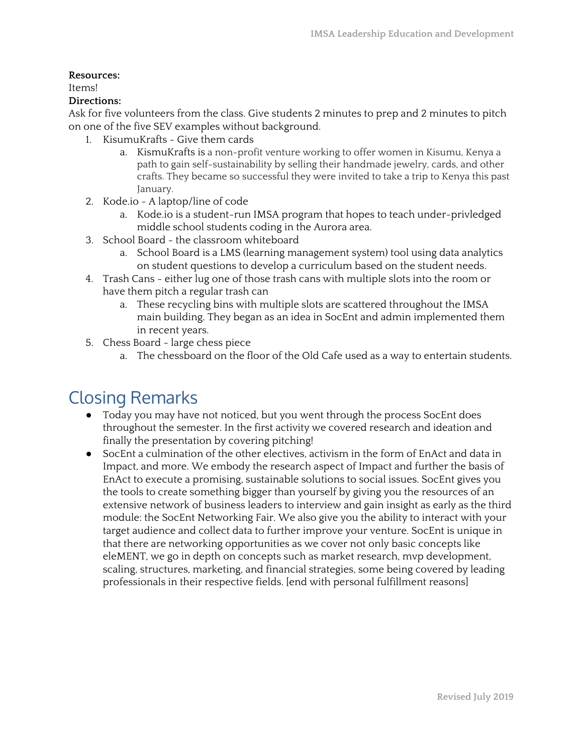#### **Resources:**

Items!

#### **Directions:**

Ask for five volunteers from the class. Give students 2 minutes to prep and 2 minutes to pitch on one of the five SEV examples without background.

- 1. KisumuKrafts Give them cards
	- a. KismuKrafts is a non-profit venture working to offer women in Kisumu, Kenya a path to gain self-sustainability by selling their handmade jewelry, cards, and other crafts. They became so successful they were invited to take a trip to Kenya this past January.
- 2. Kode.io A laptop/line of code
	- a. Kode.io is a student-run IMSA program that hopes to teach under-privledged middle school students coding in the Aurora area.
- 3. School Board the classroom whiteboard
	- a. School Board is a LMS (learning management system) tool using data analytics on student questions to develop a curriculum based on the student needs.
- 4. Trash Cans either lug one of those trash cans with multiple slots into the room or have them pitch a regular trash can
	- a. These recycling bins with multiple slots are scattered throughout the IMSA main building. They began as an idea in SocEnt and admin implemented them in recent years.
- 5. Chess Board large chess piece
	- a. The chessboard on the floor of the Old Cafe used as a way to entertain students.

# Closing Remarks

- Today you may have not noticed, but you went through the process SocEnt does throughout the semester. In the first activity we covered research and ideation and finally the presentation by covering pitching!
- SocEnt a culmination of the other electives, activism in the form of EnAct and data in Impact, and more. We embody the research aspect of Impact and further the basis of EnAct to execute a promising, sustainable solutions to social issues. SocEnt gives you the tools to create something bigger than yourself by giving you the resources of an extensive network of business leaders to interview and gain insight as early as the third module: the SocEnt Networking Fair. We also give you the ability to interact with your target audience and collect data to further improve your venture. SocEnt is unique in that there are networking opportunities as we cover not only basic concepts like eleMENT, we go in depth on concepts such as market research, mvp development, scaling, structures, marketing, and financial strategies, some being covered by leading professionals in their respective fields. [end with personal fulfillment reasons]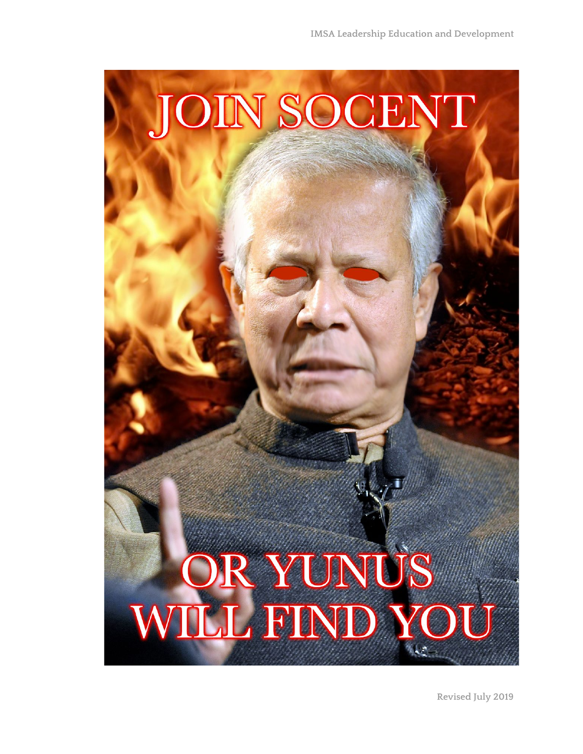